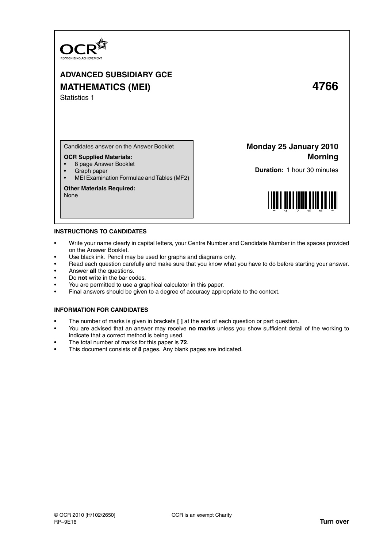

# **ADVANCED SUBSIDIARY GCE MATHEMATICS (MEI) 4766**

Statistics 1

Candidates answer on the Answer Booklet

## **OCR Supplied Materials:**

- 8 page Answer Booklet
- Graph paper
- MEI Examination Formulae and Tables (MF2)

#### **Other Materials Required:**

None

**Monday 25 January 2010 Morning**

**Duration:** 1 hour 30 minutes



#### **INSTRUCTIONS TO CANDIDATES**

- Write your name clearly in capital letters, your Centre Number and Candidate Number in the spaces provided on the Answer Booklet.
- Use black ink. Pencil may be used for graphs and diagrams only.
- Read each question carefully and make sure that you know what you have to do before starting your answer.
- Answer **all** the questions.
- Do **not** write in the bar codes.
- You are permitted to use a graphical calculator in this paper.
- Final answers should be given to a degree of accuracy appropriate to the context.

#### **INFORMATION FOR CANDIDATES**

- The number of marks is given in brackets **[ ]** at the end of each question or part question.
- You are advised that an answer may receive **no marks** unless you show sufficient detail of the working to indicate that a correct method is being used.
- The total number of marks for this paper is **72**.
- This document consists of **8** pages. Any blank pages are indicated.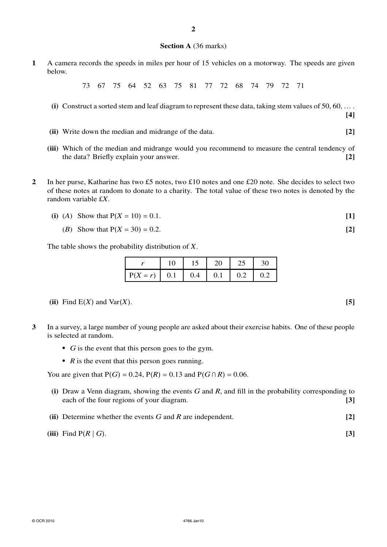#### **Section A** (36 marks)

**1** A camera records the speeds in miles per hour of 15 vehicles on a motorway. The speeds are given below.

73 67 75 64 52 63 75 81 77 72 68 74 79 72 71

- **(i)** Construct a sorted stem and leaf diagram to represent these data, taking stem values of 50, 60, … .
- **(ii)** Write down the median and midrange of the data. **[2]**
- **(iii)** Which of the median and midrange would you recommend to measure the central tendency of the data? Briefly explain your answer. **[2]**
- **2** In her purse, Katharine has two £5 notes, two £10 notes and one £20 note. She decides to select two of these notes at random to donate to a charity. The total value of these two notes is denoted by the random variable £*X*.
	- (i) (A) Show that  $P(X = 10) = 0.1$ . [1]
		- (*B*) Show that P(*X* = 30) = 0.2. **[2]**

The table shows the probability distribution of *X*.

|                                                          |  | 20 25 | - 30 |
|----------------------------------------------------------|--|-------|------|
| $\mid P(X = r) \mid 0.1 \mid 0.4 \mid 0.1 \mid 0.2 \mid$ |  |       | 0.2  |

<sup>(</sup>ii) Find  $E(X)$  and  $Var(X)$ . [5]

- **3** In a survey, a large number of young people are asked about their exercise habits. One of these people is selected at random.
	- *G* is the event that this person goes to the gym.
	- *R* is the event that this person goes running.

You are given that  $P(G) = 0.24$ ,  $P(R) = 0.13$  and  $P(G \cap R) = 0.06$ .

- **(i)** Draw a Venn diagram, showing the events *G* and *R*, and fill in the probability corresponding to each of the four regions of your diagram. **[3]**
- **(ii)** Determine whether the events *G* and *R* are independent. **[2]**

| $\bm{[}3\bm{]}$ |
|-----------------|
|                 |

**[4]**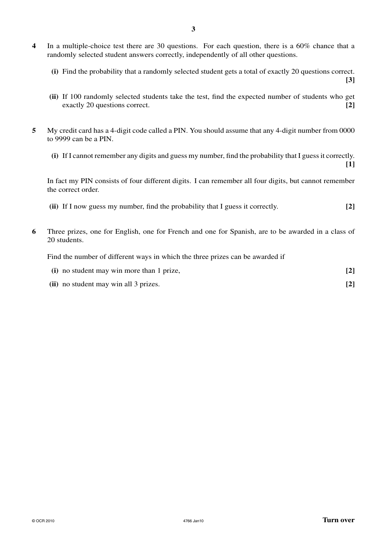- **4** In a multiple-choice test there are 30 questions. For each question, there is a 60% chance that a randomly selected student answers correctly, independently of all other questions.
	- **(i)** Find the probability that a randomly selected student gets a total of exactly 20 questions correct.
	- **(ii)** If 100 randomly selected students take the test, find the expected number of students who get exactly 20 questions correct. **[2]**
- **5** My credit card has a 4-digit code called a PIN. You should assume that any 4-digit number from 0000 to 9999 can be a PIN.
	- **(i)** If I cannot remember any digits and guess my number, find the probability that I guess it correctly. **[1]**

In fact my PIN consists of four different digits. I can remember all four digits, but cannot remember the correct order.

- **(ii)** If I now guess my number, find the probability that I guess it correctly. **[2]**
- **6** Three prizes, one for English, one for French and one for Spanish, are to be awarded in a class of 20 students.

Find the number of different ways in which the three prizes can be awarded if

| (i) no student may win more than 1 prize, |  |
|-------------------------------------------|--|
| (ii) no student may win all 3 prizes.     |  |

**[3]**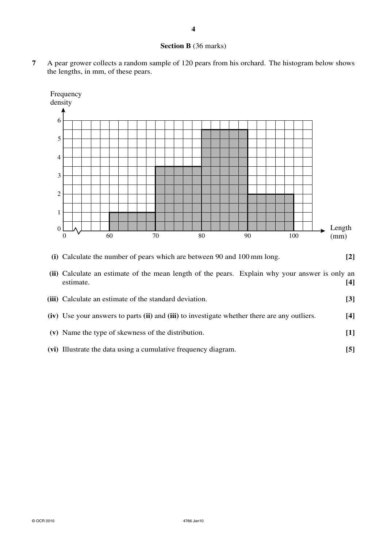### **Section B** (36 marks)

**7** A pear grower collects a random sample of 120 pears from his orchard. The histogram below shows the lengths, in mm, of these pears.

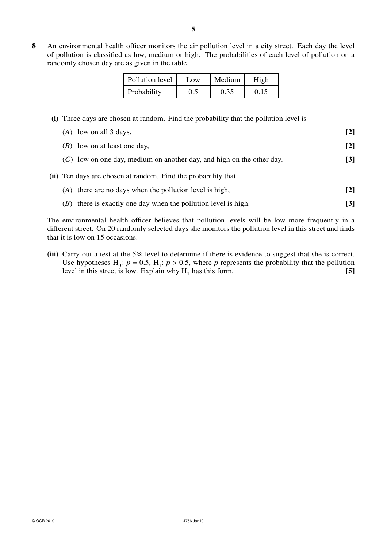- 
- **8** An environmental health officer monitors the air pollution level in a city street. Each day the level of pollution is classified as low, medium or high. The probabilities of each level of pollution on a randomly chosen day are as given in the table.

| Pollution level | Low | Medium | High |
|-----------------|-----|--------|------|
| Probability     | U.S | 0.35   | 015  |

**(i)** Three days are chosen at random. Find the probability that the pollution level is

| $(A)$ low on all 3 days,                                                |      |
|-------------------------------------------------------------------------|------|
| $(B)$ low on at least one day,                                          | 12 I |
| $(C)$ low on one day, medium on another day, and high on the other day. |      |
| (ii) Ten days are chosen at random. Find the probability that           |      |
| there are no days when the pollution level is high,<br>(A)              |      |
|                                                                         |      |

(*B*) there is exactly one day when the pollution level is high. **[3]**

The environmental health officer believes that pollution levels will be low more frequently in a different street. On 20 randomly selected days she monitors the pollution level in this street and finds that it is low on 15 occasions.

**(iii)** Carry out a test at the 5% level to determine if there is evidence to suggest that she is correct. Use hypotheses  $H_0$ :  $p = 0.5$ ,  $H_1$ :  $p > 0.5$ , where  $p$  represents the probability that the pollution level in this street is low. Explain why  $H_1$  has this form.  $[5]$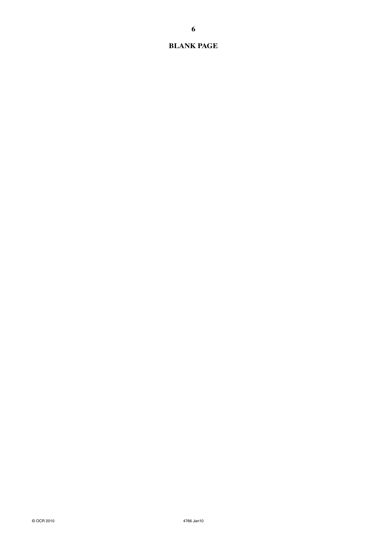## **BLANK PAGE**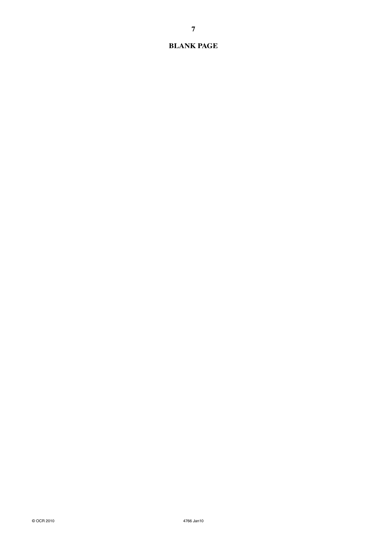## **BLANK PAGE**